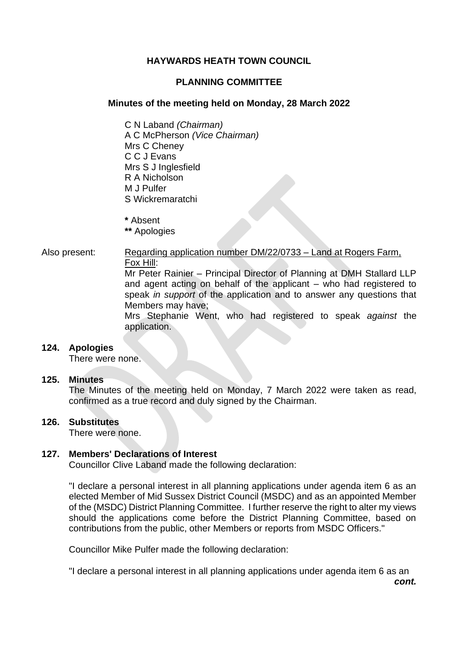# **HAYWARDS HEATH TOWN COUNCIL**

# **PLANNING COMMITTEE**

## **Minutes of the meeting held on Monday, 28 March 2022**

C N Laband *(Chairman)* A C McPherson *(Vice Chairman)* Mrs C Cheney C C J Evans Mrs S J Inglesfield R A Nicholson M J Pulfer S Wickremaratchi

**\*** Absent

**\*\*** Apologies

Also present: Regarding application number DM/22/0733 – Land at Rogers Farm, Fox Hill: Mr Peter Rainier – Principal Director of Planning at DMH Stallard LLP and agent acting on behalf of the applicant – who had registered to speak *in support* of the application and to answer any questions that

> Members may have; Mrs Stephanie Went, who had registered to speak *against* the application.

### **124. Apologies**

There were none.

### **125. Minutes**

The Minutes of the meeting held on Monday, 7 March 2022 were taken as read, confirmed as a true record and duly signed by the Chairman.

# **126. Substitutes**

There were none.

### **127. Members' Declarations of Interest**

Councillor Clive Laband made the following declaration:

"I declare a personal interest in all planning applications under agenda item 6 as an elected Member of Mid Sussex District Council (MSDC) and as an appointed Member of the (MSDC) District Planning Committee. I further reserve the right to alter my views should the applications come before the District Planning Committee, based on contributions from the public, other Members or reports from MSDC Officers."

Councillor Mike Pulfer made the following declaration:

"I declare a personal interest in all planning applications under agenda item 6 as an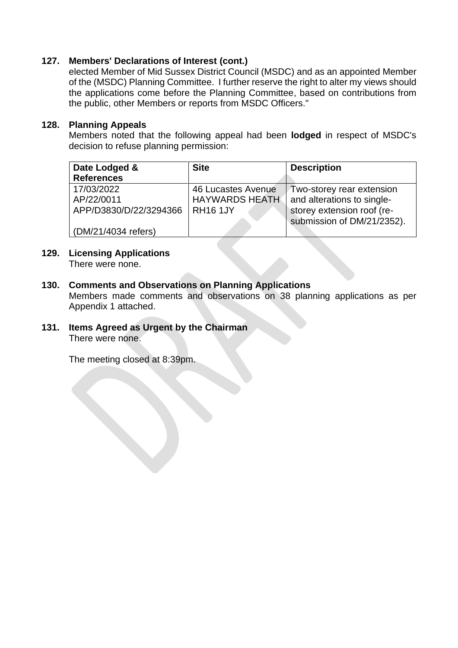# **127. Members' Declarations of Interest (cont.)**

elected Member of Mid Sussex District Council (MSDC) and as an appointed Member of the (MSDC) Planning Committee. I further reserve the right to alter my views should the applications come before the Planning Committee, based on contributions from the public, other Members or reports from MSDC Officers."

# **128. Planning Appeals**

Members noted that the following appeal had been **lodged** in respect of MSDC's decision to refuse planning permission:

| Date Lodged &<br><b>References</b>                                        | <b>Site</b>                                                    | <b>Description</b>                                                                                                  |
|---------------------------------------------------------------------------|----------------------------------------------------------------|---------------------------------------------------------------------------------------------------------------------|
| 17/03/2022<br>AP/22/0011<br>APP/D3830/D/22/3294366<br>(DM/21/4034 refers) | 46 Lucastes Avenue<br><b>HAYWARDS HEATH</b><br><b>RH16 1JY</b> | Two-storey rear extension<br>and alterations to single-<br>storey extension roof (re-<br>submission of DM/21/2352). |

### **129. Licensing Applications** There were none.

# **130. Comments and Observations on Planning Applications**

Members made comments and observations on 38 planning applications as per Appendix 1 attached.

**131. Items Agreed as Urgent by the Chairman** There were none.

The meeting closed at 8:39pm.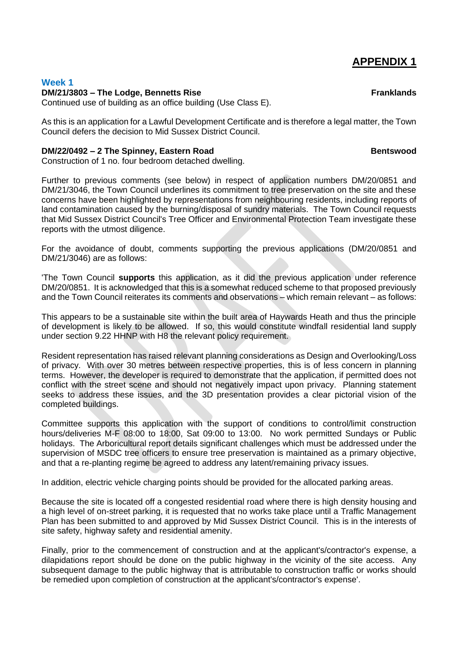# **APPENDIX 1**

### **Week 1**

### **DM/21/3803 – The Lodge, Bennetts Rise Franklands**

Continued use of building as an office building (Use Class E).

As this is an application for a Lawful Development Certificate and is therefore a legal matter, the Town Council defers the decision to Mid Sussex District Council.

### **DM/22/0492 – 2 The Spinney, Eastern Road Bentswood**

Construction of 1 no. four bedroom detached dwelling.

Further to previous comments (see below) in respect of application numbers DM/20/0851 and DM/21/3046, the Town Council underlines its commitment to tree preservation on the site and these concerns have been highlighted by representations from neighbouring residents, including reports of land contamination caused by the burning/disposal of sundry materials. The Town Council requests that Mid Sussex District Council's Tree Officer and Environmental Protection Team investigate these reports with the utmost diligence.

For the avoidance of doubt, comments supporting the previous applications (DM/20/0851 and DM/21/3046) are as follows:

'The Town Council **supports** this application, as it did the previous application under reference DM/20/0851. It is acknowledged that this is a somewhat reduced scheme to that proposed previously and the Town Council reiterates its comments and observations – which remain relevant – as follows:

This appears to be a sustainable site within the built area of Haywards Heath and thus the principle of development is likely to be allowed. If so, this would constitute windfall residential land supply under section 9.22 HHNP with H8 the relevant policy requirement.

Resident representation has raised relevant planning considerations as Design and Overlooking/Loss of privacy. With over 30 metres between respective properties, this is of less concern in planning terms. However, the developer is required to demonstrate that the application, if permitted does not conflict with the street scene and should not negatively impact upon privacy. Planning statement seeks to address these issues, and the 3D presentation provides a clear pictorial vision of the completed buildings.

Committee supports this application with the support of conditions to control/limit construction hours/deliveries M-F 08:00 to 18:00, Sat 09:00 to 13:00. No work permitted Sundays or Public holidays. The Arboricultural report details significant challenges which must be addressed under the supervision of MSDC tree officers to ensure tree preservation is maintained as a primary objective, and that a re-planting regime be agreed to address any latent/remaining privacy issues.

In addition, electric vehicle charging points should be provided for the allocated parking areas.

Because the site is located off a congested residential road where there is high density housing and a high level of on-street parking, it is requested that no works take place until a Traffic Management Plan has been submitted to and approved by Mid Sussex District Council. This is in the interests of site safety, highway safety and residential amenity.

Finally, prior to the commencement of construction and at the applicant's/contractor's expense, a dilapidations report should be done on the public highway in the vicinity of the site access. Any subsequent damage to the public highway that is attributable to construction traffic or works should be remedied upon completion of construction at the applicant's/contractor's expense'.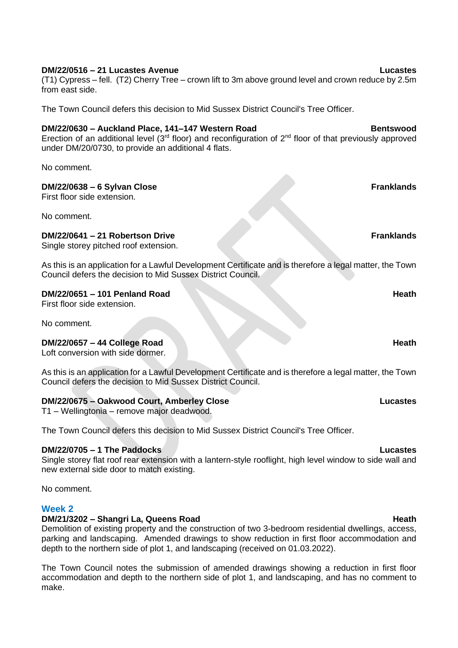### **DM/22/0516 – 21 Lucastes Avenue Lucastes**

(T1) Cypress – fell. (T2) Cherry Tree – crown lift to 3m above ground level and crown reduce by 2.5m from east side.

The Town Council defers this decision to Mid Sussex District Council's Tree Officer.

### **DM/22/0630 – Auckland Place, 141–147 Western Road Bentswood**

Erection of an additional level ( $3<sup>rd</sup>$  floor) and reconfiguration of  $2<sup>nd</sup>$  floor of that previously approved under DM/20/0730, to provide an additional 4 flats.

No comment.

### **DM/22/0638 – 6 Sylvan Close Franklands**

First floor side extension.

No comment.

### **DM/22/0641 – 21 Robertson Drive Franklands**

Single storey pitched roof extension.

As this is an application for a Lawful Development Certificate and is therefore a legal matter, the Town Council defers the decision to Mid Sussex District Council.

### **DM/22/0651 – 101 Penland Road Heath**

First floor side extension.

No comment.

### **DM/22/0657 – 44 College Road Heath**

Loft conversion with side dormer.

As this is an application for a Lawful Development Certificate and is therefore a legal matter, the Town Council defers the decision to Mid Sussex District Council.

## **DM/22/0675 – Oakwood Court, Amberley Close Lucastes**

T1 – Wellingtonia – remove major deadwood.

The Town Council defers this decision to Mid Sussex District Council's Tree Officer.

### **DM/22/0705 – 1 The Paddocks Lucastes**

Single storey flat roof rear extension with a lantern-style rooflight, high level window to side wall and new external side door to match existing.

No comment.

### **Week 2**

### **DM/21/3202 – Shangri La, Queens Road Heath Heath Heath Heath**

Demolition of existing property and the construction of two 3-bedroom residential dwellings, access, parking and landscaping. Amended drawings to show reduction in first floor accommodation and depth to the northern side of plot 1, and landscaping (received on 01.03.2022).

The Town Council notes the submission of amended drawings showing a reduction in first floor accommodation and depth to the northern side of plot 1, and landscaping, and has no comment to make.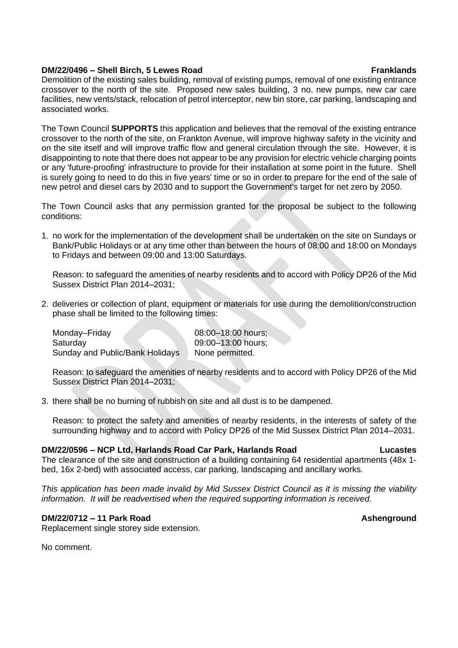### **DM/22/0496 – Shell Birch, 5 Lewes Road Franklands**

Demolition of the existing sales building, removal of existing pumps, removal of one existing entrance crossover to the north of the site. Proposed new sales building, 3 no. new pumps, new car care facilities, new vents/stack, relocation of petrol interceptor, new bin store, car parking, landscaping and associated works.

The Town Council **SUPPORTS** this application and believes that the removal of the existing entrance crossover to the north of the site, on Frankton Avenue, will improve highway safety in the vicinity and on the site itself and will improve traffic flow and general circulation through the site. However, it is disappointing to note that there does not appear to be any provision for electric vehicle charging points or any 'future-proofing' infrastructure to provide for their installation at some point in the future. Shell is surely going to need to do this in five years' time or so in order to prepare for the end of the sale of new petrol and diesel cars by 2030 and to support the Government's target for net zero by 2050.

The Town Council asks that any permission granted for the proposal be subject to the following conditions:

1. no work for the implementation of the development shall be undertaken on the site on Sundays or Bank/Public Holidays or at any time other than between the hours of 08:00 and 18:00 on Mondays to Fridays and between 09:00 and 13:00 Saturdays.

Reason: to safeguard the amenities of nearby residents and to accord with Policy DP26 of the Mid Sussex District Plan 2014–2031;

2. deliveries or collection of plant, equipment or materials for use during the demolition/construction phase shall be limited to the following times:

Monday–Friday 08:00–18:00 hours; Saturday 09:00–13:00 hours: Sunday and Public/Bank Holidays None permitted.

Reason: to safeguard the amenities of nearby residents and to accord with Policy DP26 of the Mid Sussex District Plan 2014–2031;

3. there shall be no burning of rubbish on site and all dust is to be dampened.

Reason: to protect the safety and amenities of nearby residents, in the interests of safety of the surrounding highway and to accord with Policy DP26 of the Mid Sussex District Plan 2014–2031.

### **DM/22/0596 – NCP Ltd, Harlands Road Car Park, Harlands Road Lucastes**

The clearance of the site and construction of a building containing 64 residential apartments (48x 1 bed, 16x 2-bed) with associated access, car parking, landscaping and ancillary works.

*This application has been made invalid by Mid Sussex District Council as it is missing the viability information. It will be readvertised when the required supporting information is received.* 

### **DM/22/0712 – 11 Park Road Ashenground**

Replacement single storey side extension.

No comment.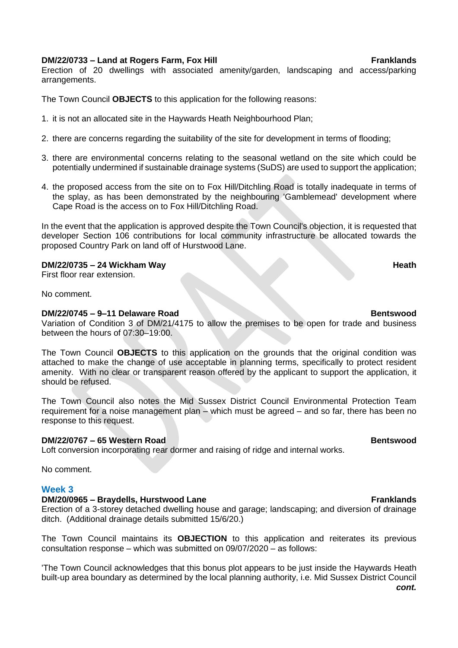### **DM/22/0733 – Land at Rogers Farm, Fox Hill Franklands**

Erection of 20 dwellings with associated amenity/garden, landscaping and access/parking arrangements.

The Town Council **OBJECTS** to this application for the following reasons:

- 1. it is not an allocated site in the Haywards Heath Neighbourhood Plan;
- 2. there are concerns regarding the suitability of the site for development in terms of flooding;
- 3. there are environmental concerns relating to the seasonal wetland on the site which could be potentially undermined if sustainable drainage systems (SuDS) are used to support the application;
- 4. the proposed access from the site on to Fox Hill/Ditchling Road is totally inadequate in terms of the splay, as has been demonstrated by the neighbouring 'Gamblemead' development where Cape Road is the access on to Fox Hill/Ditchling Road.

In the event that the application is approved despite the Town Council's objection, it is requested that developer Section 106 contributions for local community infrastructure be allocated towards the proposed Country Park on land off of Hurstwood Lane.

### **DM/22/0735 – 24 Wickham Way Heath**

First floor rear extension.

No comment.

### **DM/22/0745 – 9–11 Delaware Road Bentswood**

Variation of Condition 3 of DM/21/4175 to allow the premises to be open for trade and business between the hours of 07:30–19:00.

The Town Council **OBJECTS** to this application on the grounds that the original condition was attached to make the change of use acceptable in planning terms, specifically to protect resident amenity. With no clear or transparent reason offered by the applicant to support the application, it should be refused.

The Town Council also notes the Mid Sussex District Council Environmental Protection Team requirement for a noise management plan – which must be agreed – and so far, there has been no response to this request.

### **DM/22/0767 – 65 Western Road Bentswood**

Loft conversion incorporating rear dormer and raising of ridge and internal works.

No comment.

### **Week 3**

### **DM/20/0965 – Braydells, Hurstwood Lane Franklands Franklands**

Erection of a 3-storey detached dwelling house and garage; landscaping; and diversion of drainage ditch. (Additional drainage details submitted 15/6/20.)

The Town Council maintains its **OBJECTION** to this application and reiterates its previous consultation response – which was submitted on 09/07/2020 – as follows:

'The Town Council acknowledges that this bonus plot appears to be just inside the Haywards Heath built-up area boundary as determined by the local planning authority, i.e. Mid Sussex District Council *cont.*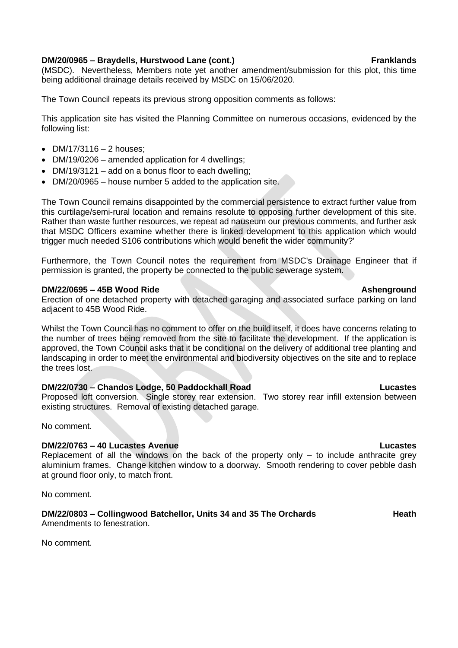### **DM/20/0965 – Braydells, Hurstwood Lane (cont.) Franklands**

(MSDC). Nevertheless, Members note yet another amendment/submission for this plot, this time being additional drainage details received by MSDC on 15/06/2020.

The Town Council repeats its previous strong opposition comments as follows:

This application site has visited the Planning Committee on numerous occasions, evidenced by the following list:

- $DM/17/3116 2$  houses:
- DM/19/0206 amended application for 4 dwellings;
- DM/19/3121 add on a bonus floor to each dwelling;
- DM/20/0965 house number 5 added to the application site.

The Town Council remains disappointed by the commercial persistence to extract further value from this curtilage/semi-rural location and remains resolute to opposing further development of this site. Rather than waste further resources, we repeat ad nauseum our previous comments, and further ask that MSDC Officers examine whether there is linked development to this application which would trigger much needed S106 contributions which would benefit the wider community?'

Furthermore, the Town Council notes the requirement from MSDC's Drainage Engineer that if permission is granted, the property be connected to the public sewerage system.

### **DM/22/0695 – 45B Wood Ride Ashenground**

Erection of one detached property with detached garaging and associated surface parking on land adjacent to 45B Wood Ride.

Whilst the Town Council has no comment to offer on the build itself, it does have concerns relating to the number of trees being removed from the site to facilitate the development. If the application is approved, the Town Council asks that it be conditional on the delivery of additional tree planting and landscaping in order to meet the environmental and biodiversity objectives on the site and to replace the trees lost.

### **DM/22/0730 – Chandos Lodge, 50 Paddockhall Road Lucastes**

Proposed loft conversion. Single storey rear extension. Two storey rear infill extension between existing structures. Removal of existing detached garage.

No comment.

### **DM/22/0763 – 40 Lucastes Avenue Lucastes**

Replacement of all the windows on the back of the property only  $-$  to include anthracite grey aluminium frames. Change kitchen window to a doorway. Smooth rendering to cover pebble dash at ground floor only, to match front.

No comment.

# **DM/22/0803** – Collingwood Batchellor, Units 34 and 35 The Orchards **Heath** Heath

Amendments to fenestration.

No comment.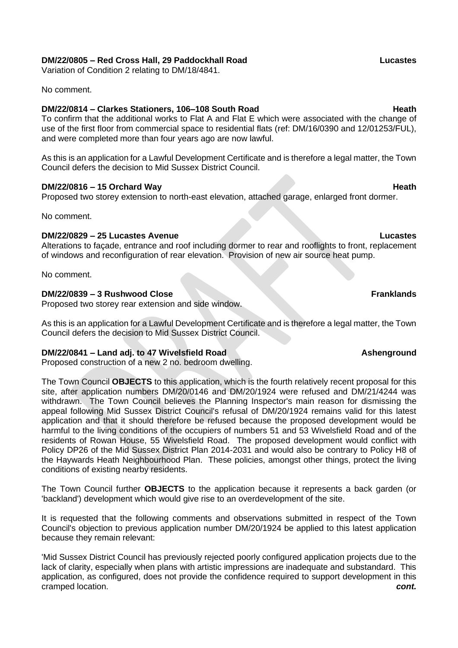### **DM/22/0805 – Red Cross Hall, 29 Paddockhall Road Lucastes**

Variation of Condition 2 relating to DM/18/4841.

No comment.

### **DM/22/0814 – Clarkes Stationers, 106–108 South Road Heath Heath**

To confirm that the additional works to Flat A and Flat E which were associated with the change of use of the first floor from commercial space to residential flats (ref: DM/16/0390 and 12/01253/FUL), and were completed more than four years ago are now lawful.

As this is an application for a Lawful Development Certificate and is therefore a legal matter, the Town Council defers the decision to Mid Sussex District Council.

### **DM/22/0816 – 15 Orchard Way Heath**

Proposed two storey extension to north-east elevation, attached garage, enlarged front dormer.

No comment.

### **DM/22/0829 – 25 Lucastes Avenue Lucastes**

Alterations to façade, entrance and roof including dormer to rear and rooflights to front, replacement of windows and reconfiguration of rear elevation. Provision of new air source heat pump.

No comment.

### **DM/22/0839 – 3 Rushwood Close Franklands**

Proposed two storey rear extension and side window.

As this is an application for a Lawful Development Certificate and is therefore a legal matter, the Town Council defers the decision to Mid Sussex District Council.

### **DM/22/0841** – Land adj. to 47 Wivelsfield Road **Ashenground**

Proposed construction of a new 2 no. bedroom dwelling.

The Town Council **OBJECTS** to this application, which is the fourth relatively recent proposal for this site, after application numbers DM/20/0146 and DM/20/1924 were refused and DM/21/4244 was withdrawn. The Town Council believes the Planning Inspector's main reason for dismissing the appeal following Mid Sussex District Council's refusal of DM/20/1924 remains valid for this latest application and that it should therefore be refused because the proposed development would be harmful to the living conditions of the occupiers of numbers 51 and 53 Wivelsfield Road and of the residents of Rowan House, 55 Wivelsfield Road. The proposed development would conflict with Policy DP26 of the Mid Sussex District Plan 2014-2031 and would also be contrary to Policy H8 of the Haywards Heath Neighbourhood Plan. These policies, amongst other things, protect the living conditions of existing nearby residents.

The Town Council further **OBJECTS** to the application because it represents a back garden (or 'backland') development which would give rise to an overdevelopment of the site.

It is requested that the following comments and observations submitted in respect of the Town Council's objection to previous application number DM/20/1924 be applied to this latest application because they remain relevant:

'Mid Sussex District Council has previously rejected poorly configured application projects due to the lack of clarity, especially when plans with artistic impressions are inadequate and substandard. This application, as configured, does not provide the confidence required to support development in this cramped location. *cont.*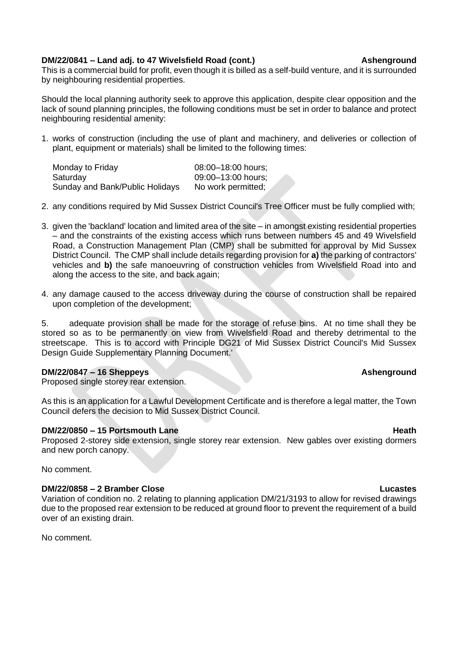### **DM/22/0841 – Land adj. to 47 Wivelsfield Road (cont.) Ashenground**

This is a commercial build for profit, even though it is billed as a self-build venture, and it is surrounded by neighbouring residential properties.

Should the local planning authority seek to approve this application, despite clear opposition and the lack of sound planning principles, the following conditions must be set in order to balance and protect neighbouring residential amenity:

1. works of construction (including the use of plant and machinery, and deliveries or collection of plant, equipment or materials) shall be limited to the following times:

| Monday to Friday                | 08:00-18:00 hours; |
|---------------------------------|--------------------|
| Saturday                        | 09:00-13:00 hours; |
| Sunday and Bank/Public Holidays | No work permitted; |

- 2. any conditions required by Mid Sussex District Council's Tree Officer must be fully complied with;
- 3. given the 'backland' location and limited area of the site in amongst existing residential properties – and the constraints of the existing access which runs between numbers 45 and 49 Wivelsfield Road, a Construction Management Plan (CMP) shall be submitted for approval by Mid Sussex District Council. The CMP shall include details regarding provision for **a)** the parking of contractors' vehicles and **b)** the safe manoeuvring of construction vehicles from Wivelsfield Road into and along the access to the site, and back again;
- 4. any damage caused to the access driveway during the course of construction shall be repaired upon completion of the development;

5. adequate provision shall be made for the storage of refuse bins. At no time shall they be stored so as to be permanently on view from Wivelsfield Road and thereby detrimental to the streetscape. This is to accord with Principle DG21 of Mid Sussex District Council's Mid Sussex Design Guide Supplementary Planning Document.'

### **DM/22/0847 – 16 Sheppeys Ashenground**

Proposed single storey rear extension.

As this is an application for a Lawful Development Certificate and is therefore a legal matter, the Town Council defers the decision to Mid Sussex District Council.

### **DM/22/0850 – 15 Portsmouth Lane Heath**

Proposed 2-storey side extension, single storey rear extension. New gables over existing dormers and new porch canopy.

No comment.

### **DM/22/0858 – 2 Bramber Close Lucastes**

Variation of condition no. 2 relating to planning application DM/21/3193 to allow for revised drawings due to the proposed rear extension to be reduced at ground floor to prevent the requirement of a build over of an existing drain.

No comment.